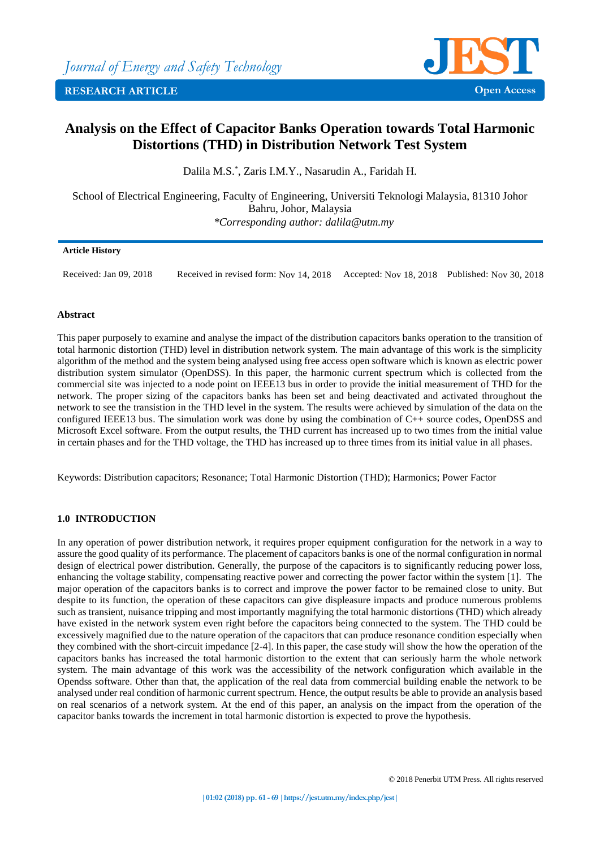



# **Analysis on the Effect of Capacitor Banks Operation towards Total Harmonic Distortions (THD) in Distribution Network Test System**

Dalila M.S.\* , Zaris I.M.Y., Nasarudin A., Faridah H.

School of Electrical Engineering, Faculty of Engineering, Universiti Teknologi Malaysia, 81310 Johor Bahru, Johor, Malaysia *\*Corresponding author: dalila@utm.my*

## **Article History**

Received: Jan 09, 2018 Received in revised form: Nov 14, 2018 Accepted: Nov 18, 2018 Published: Nov 30, 2018

## **Abstract**

This paper purposely to examine and analyse the impact of the distribution capacitors banks operation to the transition of total harmonic distortion (THD) level in distribution network system. The main advantage of this work is the simplicity algorithm of the method and the system being analysed using free access open software which is known as electric power distribution system simulator (OpenDSS). In this paper, the harmonic current spectrum which is collected from the commercial site was injected to a node point on IEEE13 bus in order to provide the initial measurement of THD for the network. The proper sizing of the capacitors banks has been set and being deactivated and activated throughout the network to see the transistion in the THD level in the system. The results were achieved by simulation of the data on the configured IEEE13 bus. The simulation work was done by using the combination of C++ source codes, OpenDSS and Microsoft Excel software. From the output results, the THD current has increased up to two times from the initial value in certain phases and for the THD voltage, the THD has increased up to three times from its initial value in all phases.

Keywords: Distribution capacitors; Resonance; Total Harmonic Distortion (THD); Harmonics; Power Factor

## **1.0 INTRODUCTION**

In any operation of power distribution network, it requires proper equipment configuration for the network in a way to assure the good quality of its performance. The placement of capacitors banks is one of the normal configuration in normal design of electrical power distribution. Generally, the purpose of the capacitors is to significantly reducing power loss, enhancing the voltage stability, compensating reactive power and correcting the power factor within the system [1]. The major operation of the capacitors banks is to correct and improve the power factor to be remained close to unity. But despite to its function, the operation of these capacitors can give displeasure impacts and produce numerous problems such as transient, nuisance tripping and most importantly magnifying the total harmonic distortions (THD) which already have existed in the network system even right before the capacitors being connected to the system. The THD could be excessively magnified due to the nature operation of the capacitors that can produce resonance condition especially when they combined with the short-circuit impedance [2-4]. In this paper, the case study will show the how the operation of the capacitors banks has increased the total harmonic distortion to the extent that can seriously harm the whole network system. The main advantage of this work was the accessibility of the network configuration which available in the Opendss software. Other than that, the application of the real data from commercial building enable the network to be analysed under real condition of harmonic current spectrum. Hence, the output results be able to provide an analysis based on real scenarios of a network system. At the end of this paper, an analysis on the impact from the operation of the capacitor banks towards the increment in total harmonic distortion is expected to prove the hypothesis.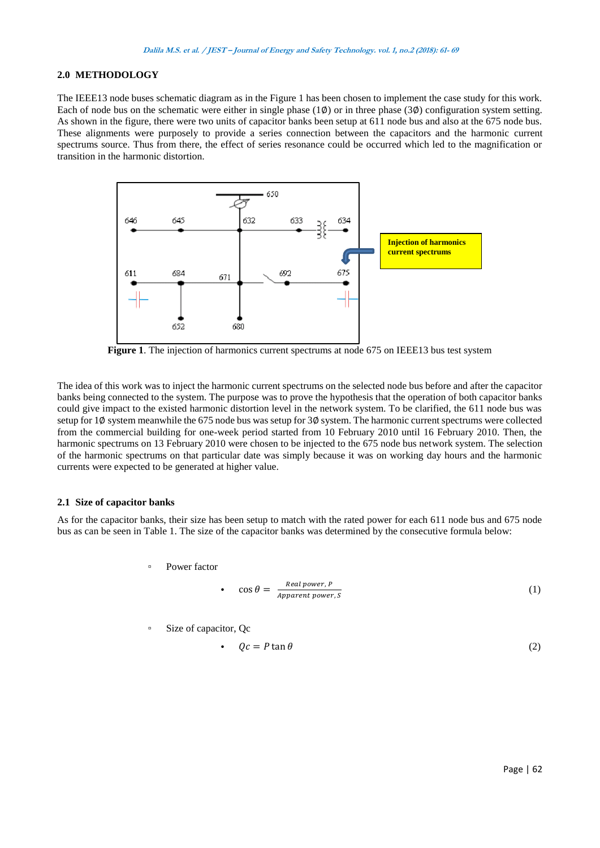## **2.0 METHODOLOGY**

The IEEE13 node buses schematic diagram as in the Figure 1 has been chosen to implement the case study for this work. Each of node bus on the schematic were either in single phase  $(1\emptyset)$  or in three phase  $(3\emptyset)$  configuration system setting. As shown in the figure, there were two units of capacitor banks been setup at 611 node bus and also at the 675 node bus. These alignments were purposely to provide a series connection between the capacitors and the harmonic current spectrums source. Thus from there, the effect of series resonance could be occurred which led to the magnification or transition in the harmonic distortion.



**Figure 1**. The injection of harmonics current spectrums at node 675 on IEEE13 bus test system

The idea of this work was to inject the harmonic current spectrums on the selected node bus before and after the capacitor banks being connected to the system. The purpose was to prove the hypothesis that the operation of both capacitor banks could give impact to the existed harmonic distortion level in the network system. To be clarified, the 611 node bus was setup for 1Ø system meanwhile the 675 node bus was setup for 3Ø system. The harmonic current spectrums were collected from the commercial building for one-week period started from 10 February 2010 until 16 February 2010. Then, the harmonic spectrums on 13 February 2010 were chosen to be injected to the 675 node bus network system. The selection of the harmonic spectrums on that particular date was simply because it was on working day hours and the harmonic currents were expected to be generated at higher value.

#### **2.1 Size of capacitor banks**

As for the capacitor banks, their size has been setup to match with the rated power for each 611 node bus and 675 node bus as can be seen in Table 1. The size of the capacitor banks was determined by the consecutive formula below:

Power factor

• 
$$
\cos \theta = \frac{Real power, P}{Append power, S}
$$
 (1)

▫ Size of capacitor, Qc

• 
$$
Qc = P \tan \theta
$$
 (2)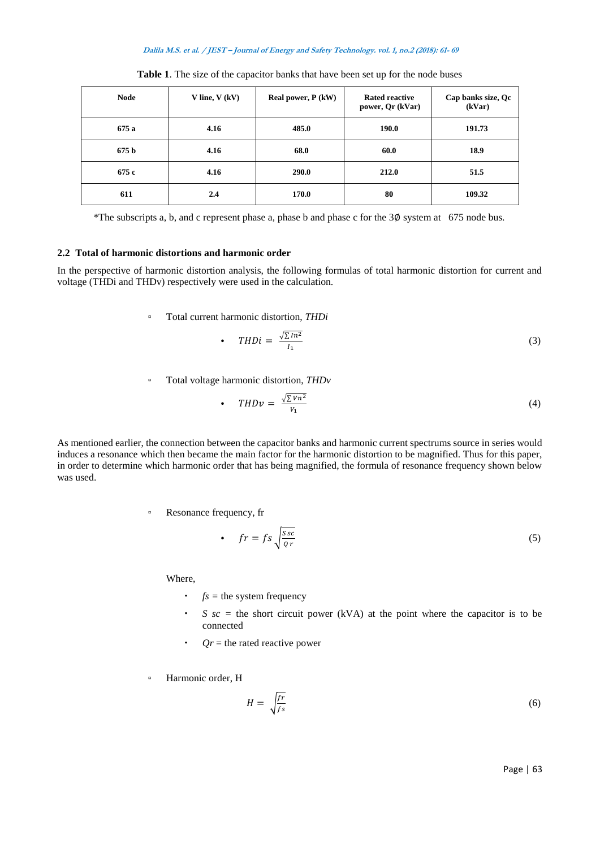#### **Dalila M.S. et al. / JEST – Journal of Energy and Safety Technology. vol. 1, no.2 (2018): 61- 69**

| <b>Node</b>      | V line, $V$ (kV) | Real power, P (kW) | <b>Rated reactive</b><br>power, Qr (kVar) | Cap banks size, Qc<br>(kVar) |
|------------------|------------------|--------------------|-------------------------------------------|------------------------------|
| 675a             | 4.16             | 485.0              | 190.0                                     | 191.73                       |
| 675 <sub>b</sub> | 4.16             | 68.0               | 60.0                                      | 18.9                         |
| 675 c            | 4.16             | 290.0              | 212.0                                     | 51.5                         |
| 611              | 2.4              | 170.0              | 80                                        | 109.32                       |

**Table 1**. The size of the capacitor banks that have been set up for the node buses

\*The subscripts a, b, and c represent phase a, phase b and phase c for the 3∅ system at 675 node bus.

## **2.2 Total of harmonic distortions and harmonic order**

In the perspective of harmonic distortion analysis, the following formulas of total harmonic distortion for current and voltage (THDi and THDv) respectively were used in the calculation.

▫ Total current harmonic distortion, *THDi*

• 
$$
THDi = \frac{\sqrt{\sum In^2}}{I_1}
$$
 (3)

▫ Total voltage harmonic distortion, *THDv*

• 
$$
\mathsf{THD}v = \frac{\sqrt{\sum Vn^2}}{V_1} \tag{4}
$$

As mentioned earlier, the connection between the capacitor banks and harmonic current spectrums source in series would induces a resonance which then became the main factor for the harmonic distortion to be magnified. Thus for this paper, in order to determine which harmonic order that has being magnified, the formula of resonance frequency shown below was used.

▫ Resonance frequency, fr

• 
$$
fr = fs \sqrt{\frac{Ssc}{qr}}
$$
 (5)

Where,

- $\cdot$  *fs* = the system frequency
- $\cdot$  *S sc* = the short circuit power (kVA) at the point where the capacitor is to be connected
- $\cdot$  *Qr* = the rated reactive power
- Harmonic order, H

$$
H = \sqrt{\frac{fr}{fs}}\tag{6}
$$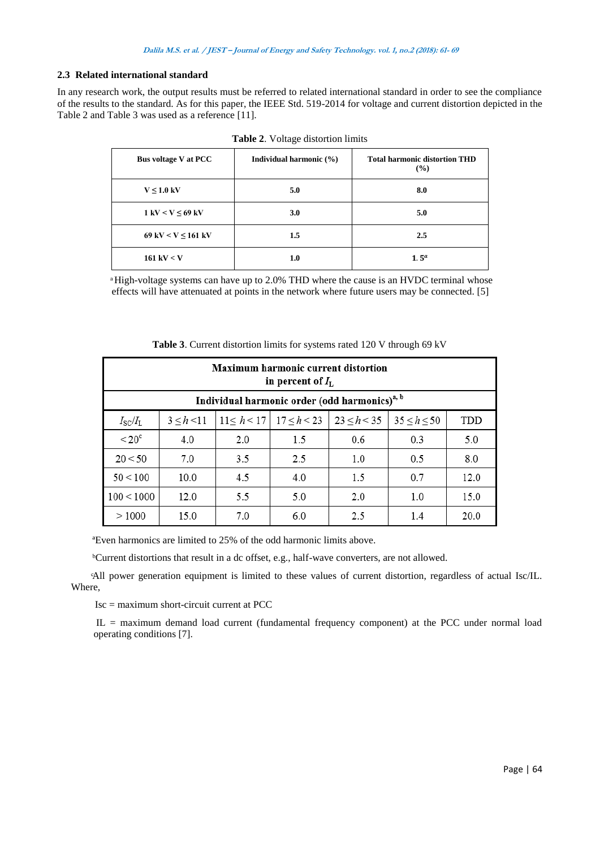## **2.3 Related international standard**

In any research work, the output results must be referred to related international standard in order to see the compliance of the results to the standard. As for this paper, the IEEE Std. 519-2014 for voltage and current distortion depicted in the Table 2 and Table 3 was used as a reference [11].

| <b>Bus voltage V at PCC</b>           | Individual harmonic (%) | <b>Total harmonic distortion THD</b><br>(%) |
|---------------------------------------|-------------------------|---------------------------------------------|
| $V \leq 1.0$ kV                       | 5.0                     | 8.0                                         |
| $1 \text{ kV} < V \leq 69 \text{ kV}$ | 3.0                     | 5.0                                         |
| 69 kV < $V \le 161$ kV                | $1.5\,$                 | 2.5                                         |
| $161 \text{ kV} < V$                  | 1.0                     | 1.5 <sup>a</sup>                            |

ͣHigh-voltage systems can have up to 2.0% THD where the cause is an HVDC terminal whose effects will have attenuated at points in the network where future users may be connected. [5]

| <b>Maximum harmonic current distortion</b><br>in percent of $I_{\rm L}$ |                                                           |     |     |                                               |             |      |
|-------------------------------------------------------------------------|-----------------------------------------------------------|-----|-----|-----------------------------------------------|-------------|------|
|                                                                         | Individual harmonic order (odd harmonics) <sup>a, b</sup> |     |     |                                               |             |      |
| $I_{\rm SC}/I_{\rm L}$                                                  | 3 < h < 11                                                |     |     | $11 < h < 17$   $17 < h < 23$   $23 < h < 35$ | 35 < h < 50 | TDD  |
| $< 20^{\circ}$                                                          | 4.0                                                       | 2.0 | 1.5 | 0.6                                           | 0.3         | 5.0  |
| 20 < 50                                                                 | 7.0                                                       | 3.5 | 2.5 | 1.0                                           | 0.5         | 8.0  |
| 50 < 100                                                                | 10.0                                                      | 4.5 | 4.0 | 1.5                                           | 0.7         | 12.0 |
| 100 < 1000                                                              | 12.0                                                      | 5.5 | 5.0 | 2.0                                           | 1.0         | 15.0 |
| >1000                                                                   | 15.0                                                      | 7.0 | 6.0 | 2.5                                           | 1.4         | 20.0 |

**Table 3**. Current distortion limits for systems rated 120 V through 69 kV

ªEven harmonics are limited to 25% of the odd harmonic limits above.

ᵇCurrent distortions that result in a dc offset, e.g., half-wave converters, are not allowed.

ͨAll power generation equipment is limited to these values of current distortion, regardless of actual Isc/IL. Where,

 $Isc =$  maximum short-circuit current at PCC

IL = maximum demand load current (fundamental frequency component) at the PCC under normal load operating conditions [7].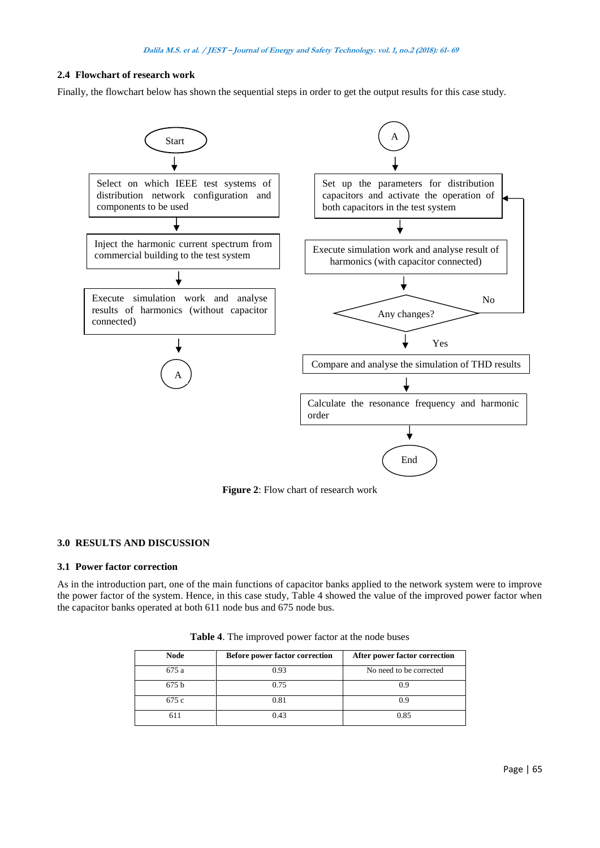## **2.4 Flowchart of research work**

Finally, the flowchart below has shown the sequential steps in order to get the output results for this case study.



**Figure 2**: Flow chart of research work

#### **3.0 RESULTS AND DISCUSSION**

#### **3.1 Power factor correction**

As in the introduction part, one of the main functions of capacitor banks applied to the network system were to improve the power factor of the system. Hence, in this case study, Table 4 showed the value of the improved power factor when the capacitor banks operated at both 611 node bus and 675 node bus.

| <b>Node</b> | <b>Before power factor correction</b> | After power factor correction |
|-------------|---------------------------------------|-------------------------------|
| 675 a       | 0.93                                  | No need to be corrected       |
| 675b        | 0.75                                  | 09                            |
| 675 c       | 0.81                                  | 0 ዓ                           |
|             | 0.43                                  | 0.85                          |

**Table 4**. The improved power factor at the node buses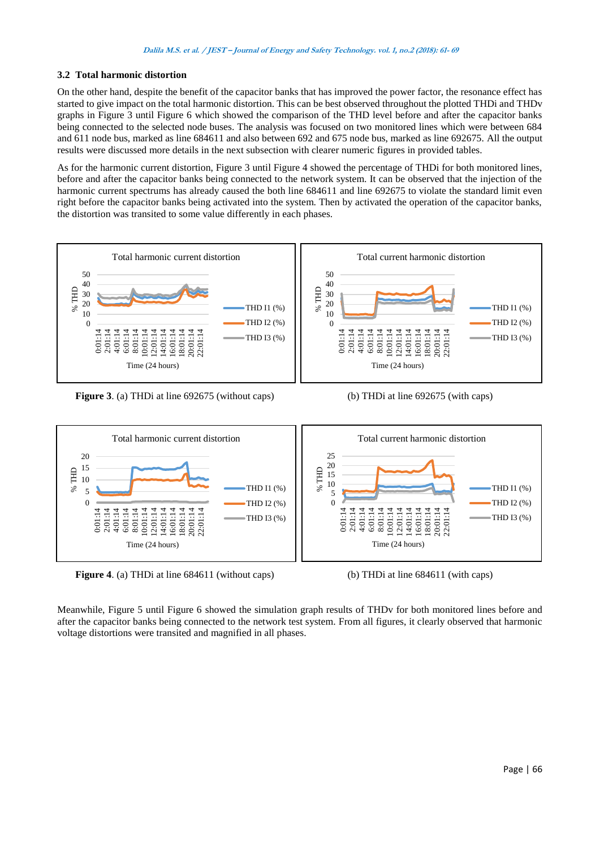## **3.2 Total harmonic distortion**

On the other hand, despite the benefit of the capacitor banks that has improved the power factor, the resonance effect has started to give impact on the total harmonic distortion. This can be best observed throughout the plotted THDi and THDv graphs in Figure 3 until Figure 6 which showed the comparison of the THD level before and after the capacitor banks being connected to the selected node buses. The analysis was focused on two monitored lines which were between 684 and 611 node bus, marked as line 684611 and also between 692 and 675 node bus, marked as line 692675. All the output results were discussed more details in the next subsection with clearer numeric figures in provided tables.

As for the harmonic current distortion, Figure 3 until Figure 4 showed the percentage of THDi for both monitored lines, before and after the capacitor banks being connected to the network system. It can be observed that the injection of the harmonic current spectrums has already caused the both line 684611 and line 692675 to violate the standard limit even right before the capacitor banks being activated into the system. Then by activated the operation of the capacitor banks, the distortion was transited to some value differently in each phases.



**Figure 3**. (a) THDi at line 692675 (without caps) (b) THDi at line 692675 (with caps)



**Figure 4**. (a) THDi at line 684611 (without caps) (b) THDi at line 684611 (with caps)

Meanwhile, Figure 5 until Figure 6 showed the simulation graph results of THDv for both monitored lines before and after the capacitor banks being connected to the network test system. From all figures, it clearly observed that harmonic voltage distortions were transited and magnified in all phases.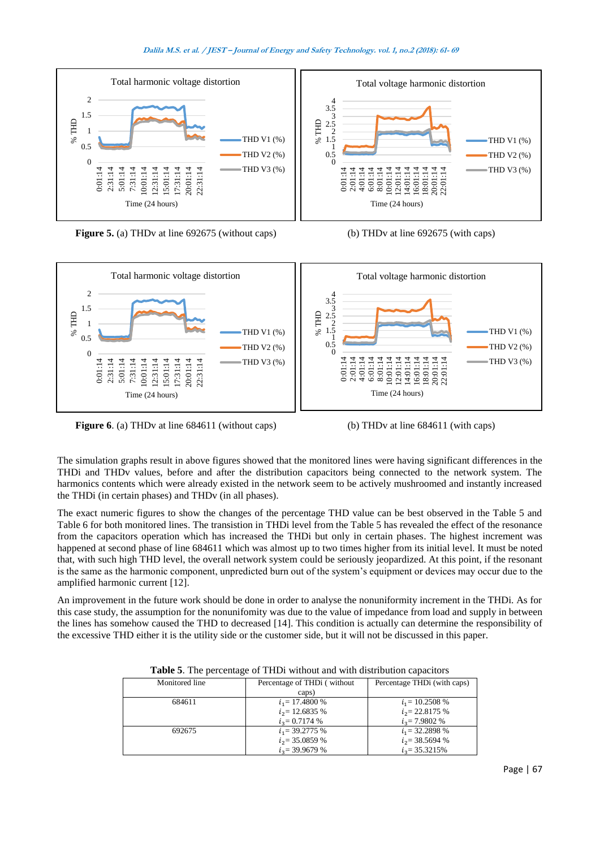#### **Dalila M.S. et al. / JEST – Journal of Energy and Safety Technology. vol. 1, no.2 (2018): 61- 69**



**Figure 5.** (a) THDv at line 692675 (without caps) (b) THDv at line 692675 (with caps)





**Figure 6**. (a) THDv at line 684611 (without caps) (b) THDv at line 684611 (with caps)

The simulation graphs result in above figures showed that the monitored lines were having significant differences in the THDi and THDv values, before and after the distribution capacitors being connected to the network system. The harmonics contents which were already existed in the network seem to be actively mushroomed and instantly increased the THDi (in certain phases) and THDv (in all phases).

The exact numeric figures to show the changes of the percentage THD value can be best observed in the Table 5 and Table 6 for both monitored lines. The transistion in THDi level from the Table 5 has revealed the effect of the resonance from the capacitors operation which has increased the THDi but only in certain phases. The highest increment was happened at second phase of line 684611 which was almost up to two times higher from its initial level. It must be noted that, with such high THD level, the overall network system could be seriously jeopardized. At this point, if the resonant is the same as the harmonic component, unpredicted burn out of the system's equipment or devices may occur due to the amplified harmonic current [12].

An improvement in the future work should be done in order to analyse the nonuniformity increment in the THDi. As for this case study, the assumption for the nonunifomity was due to the value of impedance from load and supply in between the lines has somehow caused the THD to decreased [14]. This condition is actually can determine the responsibility of the excessive THD either it is the utility side or the customer side, but it will not be discussed in this paper.

| Monitored line | Percentage of THDi (without | Percentage THD <sub>i</sub> (with caps) |
|----------------|-----------------------------|-----------------------------------------|
|                | caps)                       |                                         |
| 684611         | $i_1$ = 17.4800 %           | $i_1$ = 10.2508 %                       |
|                | $i_2$ = 12.6835 %           | $i_2$ = 22.8175 %                       |
|                | $i_2$ = 0.7174 %            | $i_2$ = 7.9802 %                        |
| 692675         | $i_1$ = 39.2775 %           | $i_1$ = 32.2898 %                       |
|                | $i_{2}$ = 35.0859 %         | $i_2$ = 38.5694 %                       |
|                | $i_2$ = 39.9679 %           | $i_2$ = 35.3215%                        |

**Table 5**. The percentage of THDi without and with distribution capacitors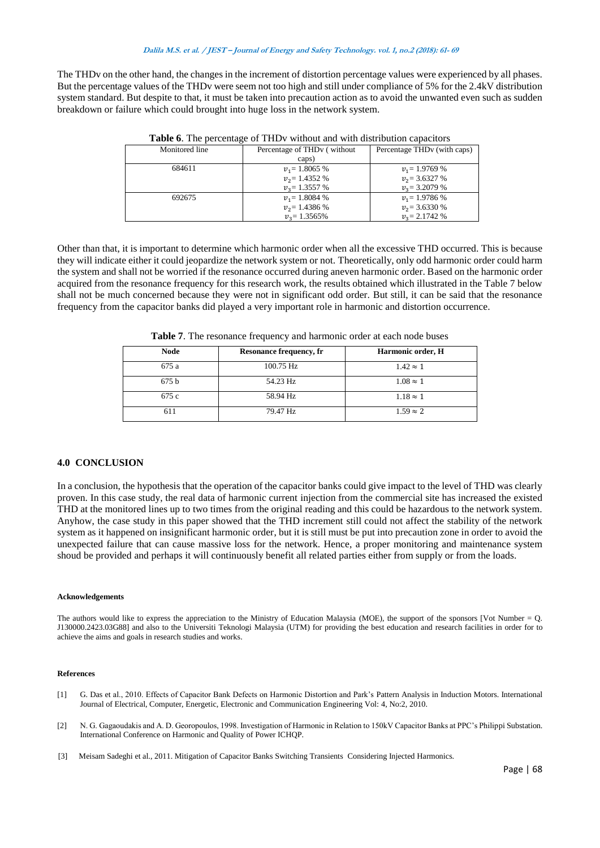The THDv on the other hand, the changes in the increment of distortion percentage values were experienced by all phases. But the percentage values of the THDv were seem not too high and still under compliance of 5% for the 2.4kV distribution system standard. But despite to that, it must be taken into precaution action as to avoid the unwanted even such as sudden breakdown or failure which could brought into huge loss in the network system.

| $\sim$ which is a properties of the state in the state that we well also allowed the subsequently |                                          |                                         |  |
|---------------------------------------------------------------------------------------------------|------------------------------------------|-----------------------------------------|--|
| Monitored line                                                                                    | Percentage of THD <sub>v</sub> (without) | Percentage THD <sub>v</sub> (with caps) |  |
|                                                                                                   | caps)                                    |                                         |  |
| 684611                                                                                            | $v_1$ = 1.8065 %                         | $v_1 = 1.9769\%$                        |  |
|                                                                                                   | $v_2$ = 1.4352 %                         | $v_2$ = 3.6327 %                        |  |
|                                                                                                   | $v_2$ = 1.3557 %                         | $v_2$ = 3.2079 %                        |  |
| 692675                                                                                            | $v_1 = 1.8084\%$                         | $v_1 = 1.9786\%$                        |  |
|                                                                                                   | $v_2$ = 1.4386 %                         | $v_2$ = 3.6330 %                        |  |
|                                                                                                   | $v_3$ = 1.3565%                          | $v_2$ = 2.1742 %                        |  |

**Table 6**. The percentage of THDv without and with distribution capacitors

Other than that, it is important to determine which harmonic order when all the excessive THD occurred. This is because they will indicate either it could jeopardize the network system or not. Theoretically, only odd harmonic order could harm the system and shall not be worried if the resonance occurred during aneven harmonic order. Based on the harmonic order acquired from the resonance frequency for this research work, the results obtained which illustrated in the Table 7 below shall not be much concerned because they were not in significant odd order. But still, it can be said that the resonance frequency from the capacitor banks did played a very important role in harmonic and distortion occurrence.

| <b>Node</b> | <b>Resonance frequency, fr</b> | Harmonic order, H |
|-------------|--------------------------------|-------------------|
| 675 a       | $100.75$ Hz                    | $1.42 \approx 1$  |
| 675b        | 54.23 Hz                       | $1.08 \approx 1$  |
| 675 c       | 58.94 Hz                       | $1.18 \approx 1$  |
| 611         | 79.47 Hz                       | $1.59 \approx 2$  |

**Table 7**. The resonance frequency and harmonic order at each node buses

#### **4.0 CONCLUSION**

In a conclusion, the hypothesis that the operation of the capacitor banks could give impact to the level of THD was clearly proven. In this case study, the real data of harmonic current injection from the commercial site has increased the existed THD at the monitored lines up to two times from the original reading and this could be hazardous to the network system. Anyhow, the case study in this paper showed that the THD increment still could not affect the stability of the network system as it happened on insignificant harmonic order, but it is still must be put into precaution zone in order to avoid the unexpected failure that can cause massive loss for the network. Hence, a proper monitoring and maintenance system shoud be provided and perhaps it will continuously benefit all related parties either from supply or from the loads.

#### **Acknowledgements**

The authors would like to express the appreciation to the Ministry of Education Malaysia (MOE), the support of the sponsors [Vot Number = Q. J130000.2423.03G88] and also to the Universiti Teknologi Malaysia (UTM) for providing the best education and research facilities in order for to achieve the aims and goals in research studies and works.

#### **References**

- [1] G. Das et al., 2010. Effects of Capacitor Bank Defects on Harmonic Distortion and Park's Pattern Analysis in Induction Motors. International Journal of Electrical, Computer, Energetic, Electronic and Communication Engineering Vol: 4, No:2, 2010.
- [2] N. G. Gagaoudakis and A. D. Georopoulos, 1998. Investigation of Harmonic in Relation to 150kV Capacitor Banks at PPC's Philippi Substation. International Conference on Harmonic and Quality of Power ICHQP.
- [3] Meisam Sadeghi et al., 2011. Mitigation of Capacitor Banks Switching Transients Considering Injected Harmonics.